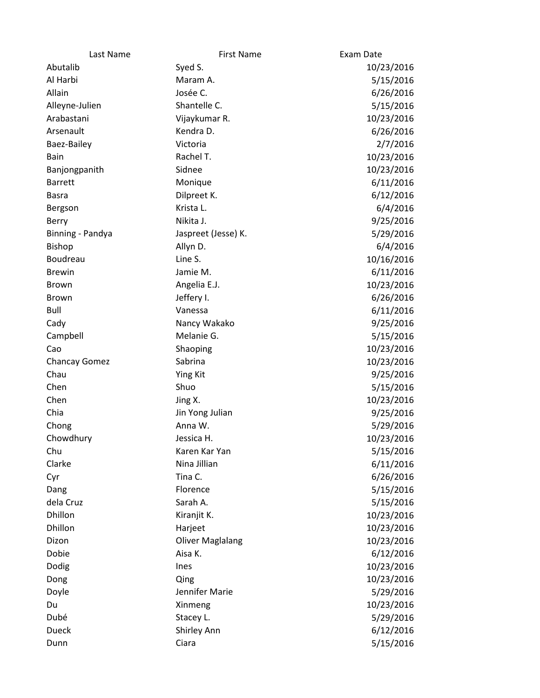| Last Name            | <b>First Name</b>       | Exam Date  |
|----------------------|-------------------------|------------|
| Abutalib             | Syed S.                 | 10/23/2016 |
| Al Harbi             | Maram A.                | 5/15/2016  |
| Allain               | Josée C.                | 6/26/2016  |
| Alleyne-Julien       | Shantelle C.            | 5/15/2016  |
| Arabastani           | Vijaykumar R.           | 10/23/2016 |
| Arsenault            | Kendra D.               | 6/26/2016  |
| Baez-Bailey          | Victoria                | 2/7/2016   |
| Bain                 | Rachel T.               | 10/23/2016 |
| Banjongpanith        | Sidnee                  | 10/23/2016 |
| <b>Barrett</b>       | Monique                 | 6/11/2016  |
| <b>Basra</b>         | Dilpreet K.             | 6/12/2016  |
| Bergson              | Krista L.               | 6/4/2016   |
| Berry                | Nikita J.               | 9/25/2016  |
| Binning - Pandya     | Jaspreet (Jesse) K.     | 5/29/2016  |
| <b>Bishop</b>        | Allyn D.                | 6/4/2016   |
| Boudreau             | Line S.                 | 10/16/2016 |
| <b>Brewin</b>        | Jamie M.                | 6/11/2016  |
| <b>Brown</b>         | Angelia E.J.            | 10/23/2016 |
| <b>Brown</b>         | Jeffery I.              | 6/26/2016  |
| Bull                 | Vanessa                 | 6/11/2016  |
| Cady                 | Nancy Wakako            | 9/25/2016  |
| Campbell             | Melanie G.              | 5/15/2016  |
| Cao                  | Shaoping                | 10/23/2016 |
| <b>Chancay Gomez</b> | Sabrina                 | 10/23/2016 |
| Chau                 | <b>Ying Kit</b>         | 9/25/2016  |
| Chen                 | Shuo                    | 5/15/2016  |
| Chen                 | Jing X.                 | 10/23/2016 |
| Chia                 | Jin Yong Julian         | 9/25/2016  |
| Chong                | Anna W.                 | 5/29/2016  |
| Chowdhury            | Jessica H.              | 10/23/2016 |
| Chu                  | Karen Kar Yan           | 5/15/2016  |
| Clarke               | Nina Jillian            | 6/11/2016  |
| Cyr                  | Tina C.                 | 6/26/2016  |
| Dang                 | Florence                | 5/15/2016  |
| dela Cruz            | Sarah A.                | 5/15/2016  |
| Dhillon              | Kiranjit K.             | 10/23/2016 |
| Dhillon              | Harjeet                 | 10/23/2016 |
| Dizon                | <b>Oliver Maglalang</b> | 10/23/2016 |
| Dobie                | Aisa K.                 | 6/12/2016  |
| Dodig                | Ines                    | 10/23/2016 |
| Dong                 | Qing                    | 10/23/2016 |
| Doyle                | Jennifer Marie          | 5/29/2016  |
| Du                   | Xinmeng                 | 10/23/2016 |
| Dubé                 | Stacey L.               | 5/29/2016  |
| <b>Dueck</b>         | Shirley Ann             | 6/12/2016  |
| Dunn                 | Ciara                   | 5/15/2016  |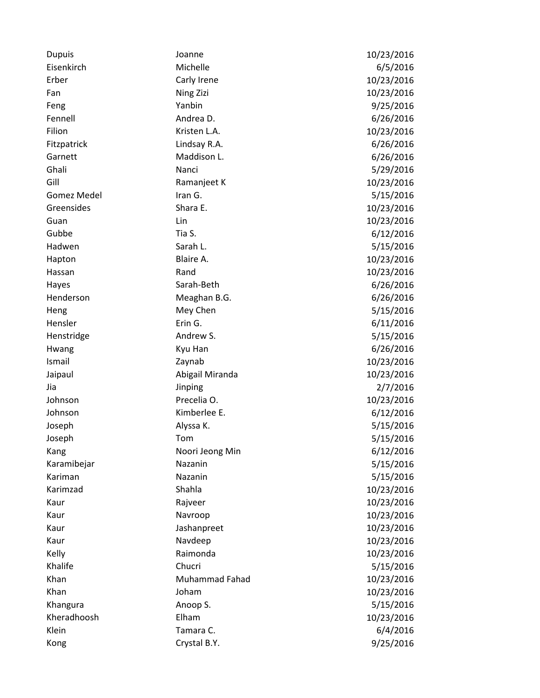| <b>Dupuis</b>      | Joanne                | 10/23/2016 |
|--------------------|-----------------------|------------|
| Eisenkirch         | Michelle              | 6/5/2016   |
| Erber              | Carly Irene           | 10/23/2016 |
| Fan                | Ning Zizi             | 10/23/2016 |
| Feng               | Yanbin                | 9/25/2016  |
| Fennell            | Andrea D.             | 6/26/2016  |
| Filion             | Kristen L.A.          | 10/23/2016 |
| Fitzpatrick        | Lindsay R.A.          | 6/26/2016  |
| Garnett            | Maddison L.           | 6/26/2016  |
| Ghali              | Nanci                 | 5/29/2016  |
| Gill               | Ramanjeet K           | 10/23/2016 |
| <b>Gomez Medel</b> | Iran G.               | 5/15/2016  |
| Greensides         | Shara E.              | 10/23/2016 |
| Guan               | Lin                   | 10/23/2016 |
| Gubbe              | Tia S.                | 6/12/2016  |
| Hadwen             | Sarah L.              | 5/15/2016  |
| Hapton             | Blaire A.             | 10/23/2016 |
| Hassan             | Rand                  | 10/23/2016 |
| Hayes              | Sarah-Beth            | 6/26/2016  |
| Henderson          | Meaghan B.G.          | 6/26/2016  |
| Heng               | Mey Chen              | 5/15/2016  |
| Hensler            | Erin G.               | 6/11/2016  |
| Henstridge         | Andrew S.             | 5/15/2016  |
| Hwang              | Kyu Han               | 6/26/2016  |
| Ismail             | Zaynab                | 10/23/2016 |
| Jaipaul            | Abigail Miranda       | 10/23/2016 |
| Jia                | Jinping               | 2/7/2016   |
| Johnson            | Precelia O.           | 10/23/2016 |
| Johnson            | Kimberlee E.          | 6/12/2016  |
| Joseph             | Alyssa K.             | 5/15/2016  |
| Joseph             | Tom                   | 5/15/2016  |
| Kang               | Noori Jeong Min       | 6/12/2016  |
| Karamibejar        | Nazanin               | 5/15/2016  |
| Kariman            | Nazanin               | 5/15/2016  |
| Karimzad           | Shahla                | 10/23/2016 |
| Kaur               | Rajveer               | 10/23/2016 |
| Kaur               | Navroop               | 10/23/2016 |
| Kaur               | Jashanpreet           | 10/23/2016 |
| Kaur               | Navdeep               | 10/23/2016 |
| Kelly              | Raimonda              | 10/23/2016 |
| Khalife            | Chucri                | 5/15/2016  |
| Khan               | <b>Muhammad Fahad</b> | 10/23/2016 |
| Khan               | Joham                 | 10/23/2016 |
| Khangura           | Anoop S.              | 5/15/2016  |
| Kheradhoosh        | Elham                 | 10/23/2016 |
| Klein              | Tamara C.             | 6/4/2016   |
| Kong               | Crystal B.Y.          | 9/25/2016  |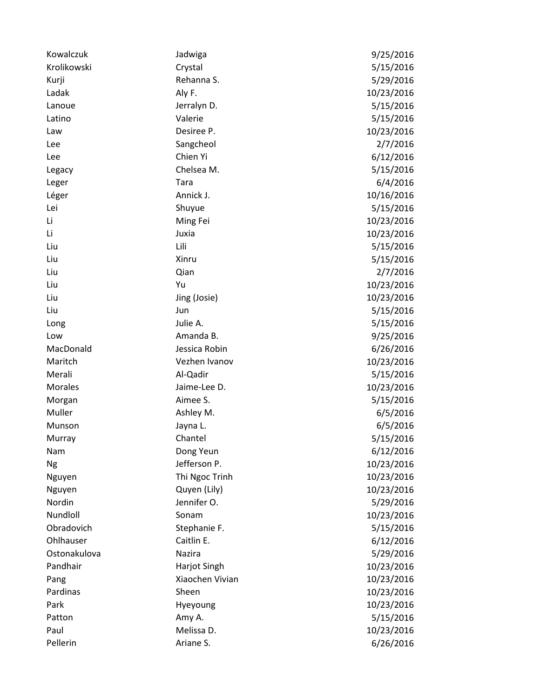| Kowalczuk      | Jadwiga         | 9/25/2016  |
|----------------|-----------------|------------|
| Krolikowski    | Crystal         | 5/15/2016  |
| Kurji          | Rehanna S.      | 5/29/2016  |
| Ladak          | Aly F.          | 10/23/2016 |
| Lanoue         | Jerralyn D.     | 5/15/2016  |
| Latino         | Valerie         | 5/15/2016  |
| Law            | Desiree P.      | 10/23/2016 |
| Lee            | Sangcheol       | 2/7/2016   |
| Lee            | Chien Yi        | 6/12/2016  |
| Legacy         | Chelsea M.      | 5/15/2016  |
| Leger          | Tara            | 6/4/2016   |
| Léger          | Annick J.       | 10/16/2016 |
| Lei            | Shuyue          | 5/15/2016  |
| Li             | Ming Fei        | 10/23/2016 |
| Li             | Juxia           | 10/23/2016 |
| Liu            | Lili            | 5/15/2016  |
| Liu            | Xinru           | 5/15/2016  |
| Liu            | Qian            | 2/7/2016   |
| Liu            | Yu              | 10/23/2016 |
| Liu            | Jing (Josie)    | 10/23/2016 |
| Liu            | Jun             | 5/15/2016  |
| Long           | Julie A.        | 5/15/2016  |
| Low            | Amanda B.       | 9/25/2016  |
| MacDonald      | Jessica Robin   | 6/26/2016  |
| Maritch        | Vezhen Ivanov   | 10/23/2016 |
| Merali         | Al-Qadir        | 5/15/2016  |
| <b>Morales</b> | Jaime-Lee D.    | 10/23/2016 |
| Morgan         | Aimee S.        | 5/15/2016  |
| Muller         | Ashley M.       | 6/5/2016   |
| Munson         | Jayna L.        | 6/5/2016   |
| Murray         | Chantel         | 5/15/2016  |
| <b>Nam</b>     | Dong Yeun       | 6/12/2016  |
| Ng             | Jefferson P.    | 10/23/2016 |
| Nguyen         | Thi Ngoc Trinh  | 10/23/2016 |
| Nguyen         | Quyen (Lily)    | 10/23/2016 |
| Nordin         | Jennifer O.     | 5/29/2016  |
| Nundloll       | Sonam           | 10/23/2016 |
| Obradovich     | Stephanie F.    | 5/15/2016  |
| Ohlhauser      | Caitlin E.      | 6/12/2016  |
| Ostonakulova   | Nazira          | 5/29/2016  |
| Pandhair       | Harjot Singh    | 10/23/2016 |
| Pang           | Xiaochen Vivian | 10/23/2016 |
| Pardinas       | Sheen           | 10/23/2016 |
| Park           | Hyeyoung        | 10/23/2016 |
| Patton         | Amy A.          | 5/15/2016  |
| Paul           | Melissa D.      | 10/23/2016 |
| Pellerin       | Ariane S.       | 6/26/2016  |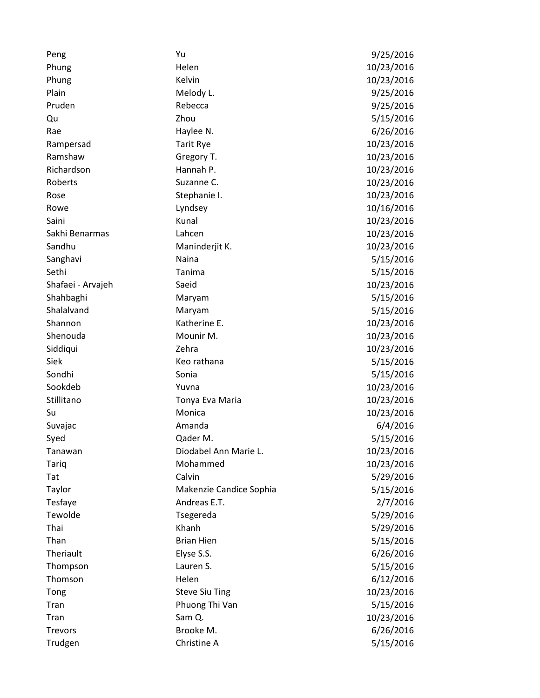| Peng              | Yu                      | 9/25/2016  |
|-------------------|-------------------------|------------|
| Phung             | Helen                   | 10/23/2016 |
| Phung             | Kelvin                  | 10/23/2016 |
| Plain             | Melody L.               | 9/25/2016  |
| Pruden            | Rebecca                 | 9/25/2016  |
| Qu                | Zhou                    | 5/15/2016  |
| Rae               | Haylee N.               | 6/26/2016  |
| Rampersad         | <b>Tarit Rye</b>        | 10/23/2016 |
| Ramshaw           | Gregory T.              | 10/23/2016 |
| Richardson        | Hannah P.               | 10/23/2016 |
| Roberts           | Suzanne C.              | 10/23/2016 |
| Rose              | Stephanie I.            | 10/23/2016 |
| Rowe              | Lyndsey                 | 10/16/2016 |
| Saini             | Kunal                   | 10/23/2016 |
| Sakhi Benarmas    | Lahcen                  | 10/23/2016 |
| Sandhu            | Maninderjit K.          | 10/23/2016 |
| Sanghavi          | Naina                   | 5/15/2016  |
| Sethi             | Tanima                  | 5/15/2016  |
| Shafaei - Arvajeh | Saeid                   | 10/23/2016 |
| Shahbaghi         | Maryam                  | 5/15/2016  |
| Shalalvand        | Maryam                  | 5/15/2016  |
| Shannon           | Katherine E.            | 10/23/2016 |
| Shenouda          | Mounir M.               | 10/23/2016 |
| Siddiqui          | Zehra                   | 10/23/2016 |
| Siek              | Keo rathana             | 5/15/2016  |
| Sondhi            | Sonia                   | 5/15/2016  |
| Sookdeb           | Yuvna                   | 10/23/2016 |
| Stillitano        | Tonya Eva Maria         | 10/23/2016 |
| Su                | Monica                  | 10/23/2016 |
| Suvajac           | Amanda                  | 6/4/2016   |
| Syed              | Qader M.                | 5/15/2016  |
| Tanawan           | Diodabel Ann Marie L.   | 10/23/2016 |
| Tariq             | Mohammed                | 10/23/2016 |
| Tat               | Calvin                  | 5/29/2016  |
| Taylor            | Makenzie Candice Sophia | 5/15/2016  |
| Tesfaye           | Andreas E.T.            | 2/7/2016   |
| Tewolde           | Tsegereda               | 5/29/2016  |
| Thai              | Khanh                   | 5/29/2016  |
| Than              | <b>Brian Hien</b>       | 5/15/2016  |
| Theriault         | Elyse S.S.              | 6/26/2016  |
| Thompson          | Lauren S.               | 5/15/2016  |
| Thomson           | Helen                   | 6/12/2016  |
| Tong              | <b>Steve Siu Ting</b>   | 10/23/2016 |
| Tran              | Phuong Thi Van          | 5/15/2016  |
| Tran              | Sam Q.                  | 10/23/2016 |
| <b>Trevors</b>    | Brooke M.               | 6/26/2016  |
| Trudgen           | Christine A             | 5/15/2016  |
|                   |                         |            |